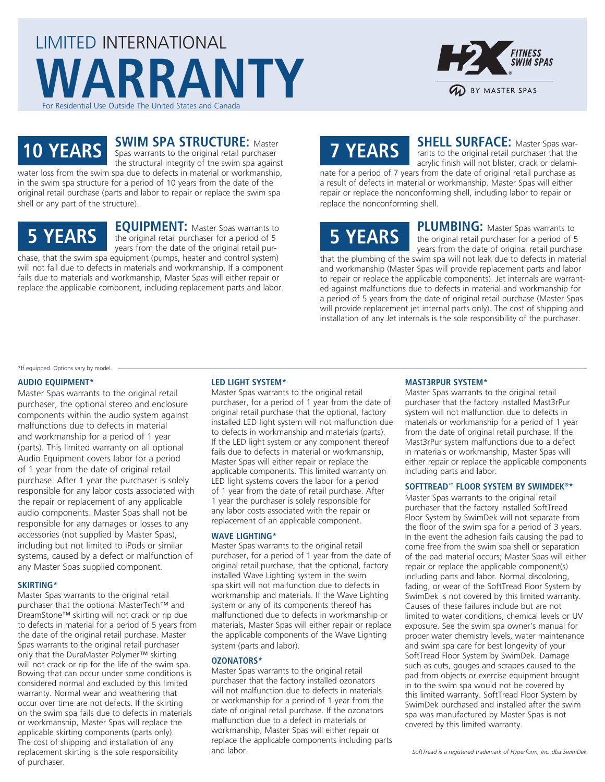



**SWIM SPA STRUCTURE:** Master

**10 YEARS** Spas warrants to the original retail purchaser the structural integrity of the swim spa against water loss from the swim spa due to defects in material or workmanship, in the swim spa structure for a period of 10 years from the date of the original retail purchase (parts and labor to repair or replace the swim spa shell or any part of the structure).

### **5 YEARS**

**EQUIPMENT:** Master Spas warrants to the original retail purchaser for a period of 5 years from the date of the original retail purchase, that the swim spa equipment (pumps, heater and control system)

will not fail due to defects in materials and workmanship. If a component fails due to materials and workmanship, Master Spas will either repair or replace the applicable component, including replacement parts and labor.

# **7 YEARS**

**SHELL SURFACE:** Master Spas warrants to the original retail purchaser that the acrylic finish will not blister, crack or delami-

nate for a period of 7 years from the date of original retail purchase as a result of defects in material or workmanship. Master Spas will either repair or replace the nonconforming shell, including labor to repair or replace the nonconforming shell.

# **5 YEARS**

**PLUMBING:** Master Spas warrants to the original retail purchaser for a period of 5 years from the date of original retail purchase

that the plumbing of the swim spa will not leak due to defects in material and workmanship (Master Spas will provide replacement parts and labor to repair or replace the applicable components). Jet internals are warranted against malfunctions due to defects in material and workmanship for a period of 5 years from the date of original retail purchase (Master Spas will provide replacement jet internal parts only). The cost of shipping and installation of any Jet internals is the sole responsibility of the purchaser.

\*If equipped. Options vary by model.

#### **AUDIO EQUIPMENT\***

Master Spas warrants to the original retail purchaser, the optional stereo and enclosure components within the audio system against malfunctions due to defects in material and workmanship for a period of 1 year (parts). This limited warranty on all optional Audio Equipment covers labor for a period of 1 year from the date of original retail purchase. After 1 year the purchaser is solely responsible for any labor costs associated with the repair or replacement of any applicable audio components. Master Spas shall not be responsible for any damages or losses to any accessories (not supplied by Master Spas), including but not limited to iPods or similar systems, caused by a defect or malfunction of any Master Spas supplied component.

#### **SKIRTING\***

Master Spas warrants to the original retail purchaser that the optional MasterTech™ and DreamStone™ skirting will not crack or rip due to defects in material for a period of 5 years from the date of the original retail purchase. Master Spas warrants to the original retail purchaser only that the DuraMaster Polymer™ skirting will not crack or rip for the life of the swim spa. Bowing that can occur under some conditions is considered normal and excluded by this limited warranty. Normal wear and weathering that occur over time are not defects. If the skirting on the swim spa fails due to defects in materials or workmanship, Master Spas will replace the applicable skirting components (parts only). The cost of shipping and installation of any replacement skirting is the sole responsibility of purchaser.

### **LED LIGHT SYSTEM\***

Master Spas warrants to the original retail purchaser, for a period of 1 year from the date of original retail purchase that the optional, factory installed LED light system will not malfunction due to defects in workmanship and materials (parts). If the LED light system or any component thereof fails due to defects in material or workmanship, Master Spas will either repair or replace the applicable components. This limited warranty on LED light systems covers the labor for a period of 1 year from the date of retail purchase. After 1 year the purchaser is solely responsible for any labor costs associated with the repair or replacement of an applicable component.

#### **WAVE LIGHTING\***

Master Spas warrants to the original retail purchaser, for a period of 1 year from the date of original retail purchase, that the optional, factory installed Wave Lighting system in the swim spa skirt will not malfunction due to defects in workmanship and materials. If the Wave Lighting system or any of its components thereof has malfunctioned due to defects in workmanship or materials, Master Spas will either repair or replace the applicable components of the Wave Lighting system (parts and labor).

#### **OZONATORS\***

Master Spas warrants to the original retail purchaser that the factory installed ozonators will not malfunction due to defects in materials or workmanship for a period of 1 year from the date of original retail purchase. If the ozonators malfunction due to a defect in materials or workmanship, Master Spas will either repair or replace the applicable components including parts and labor.

#### **MAST3RPUR SYSTEM\***

Master Spas warrants to the original retail purchaser that the factory installed Mast3rPur system will not malfunction due to defects in materials or workmanship for a period of 1 year from the date of original retail purchase. If the Mast3rPur system malfunctions due to a defect in materials or workmanship, Master Spas will either repair or replace the applicable components including parts and labor.

#### **SOFTTREAD™ FLOOR SYSTEM BY SWIMDEK®\***

Master Spas warrants to the original retail purchaser that the factory installed SoftTread Floor System by SwimDek will not separate from the floor of the swim spa for a period of 3 years. In the event the adhesion fails causing the pad to come free from the swim spa shell or separation of the pad material occurs; Master Spas will either repair or replace the applicable component(s) including parts and labor. Normal discoloring, fading, or wear of the SoftTread Floor System by SwimDek is not covered by this limited warranty. Causes of these failures include but are not limited to water conditions, chemical levels or UV exposure. See the swim spa owner's manual for proper water chemistry levels, water maintenance and swim spa care for best longevity of your SoftTread Floor System by SwimDek. Damage such as cuts, gouges and scrapes caused to the pad from objects or exercise equipment brought in to the swim spa would not be covered by this limited warranty. SoftTread Floor System by SwimDek purchased and installed after the swim spa was manufactured by Master Spas is not covered by this limited warranty.